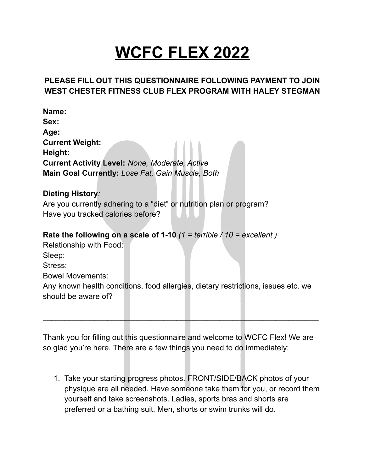## **WCFC FLEX 2022**

## **PLEASE FILL OUT THIS QUESTIONNAIRE FOLLOWING PAYMENT TO JOIN WEST CHESTER FITNESS CLUB FLEX PROGRAM WITH HALEY STEGMAN**

**Name: Sex: Age: Current Weight: Height: Current Activity Level:** *None, Moderate, Active* **Main Goal Currently:** *Lose Fat, Gain Muscle, Both*

## **Dieting History***:*

Are you currently adhering to a "diet" or nutrition plan or program? Have you tracked calories before?

**Rate the following on a scale of 1-10** *(1 = terrible / 10 = excellent )*

Relationship with Food: Sleep: Stress: Bowel Movements: Any known health conditions, food allergies, dietary restrictions, issues etc. we should be aware of?

Thank you for filling out this questionnaire and welcome to WCFC Flex! We are so glad you're here. There are a few things you need to do immediately:

\_\_\_\_\_\_\_\_\_\_\_\_\_\_\_\_\_\_\_\_\_\_\_\_\_\_\_\_\_\_\_\_\_\_\_\_\_\_\_\_\_\_\_\_\_\_\_\_\_\_\_\_\_\_\_\_\_\_\_\_\_\_\_\_

1. Take your starting progress photos. FRONT/SIDE/BACK photos of your physique are all needed. Have someone take them for you, or record them yourself and take screenshots. Ladies, sports bras and shorts are preferred or a bathing suit. Men, shorts or swim trunks will do.